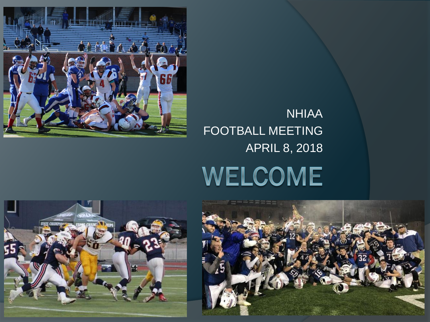



**NHIAA** 

#### FOOTBALL MEETING APRIL 8, 2018WELCOME

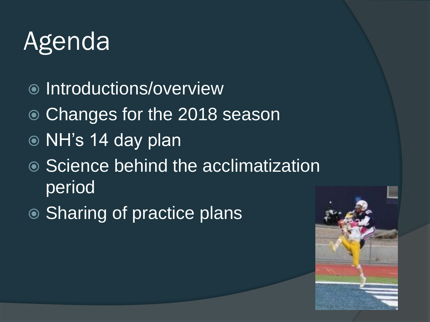### Agenda

- ◎ Introductions/overview
- Changes for the 2018 season
- NH's 14 day plan
- Science behind the acclimatization **period**
- **◎ Sharing of practice plans**

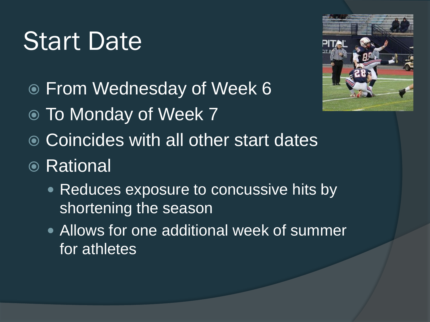#### Start Date

- From Wednesday of Week 6
- To Monday of Week 7
- **◎ Coincides with all other start dates**
- **◎ Rational** 
	- Reduces exposure to concussive hits by shortening the season
	- Allows for one additional week of summer for athletes

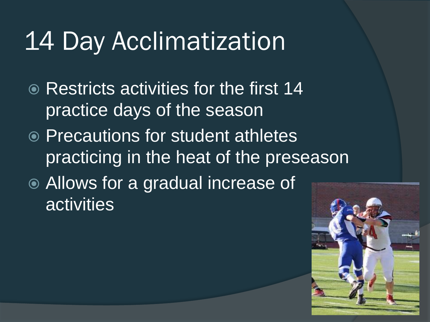#### 14 Day Acclimatization

- **Restricts activities for the first 14** practice days of the season
- **Precautions for student athletes** practicing in the heat of the preseason
- Allows for a gradual increase of **activities**

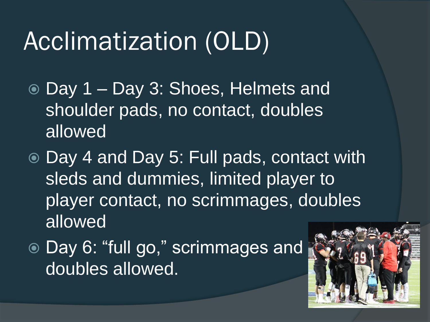### Acclimatization (OLD)

- Day 1 Day 3: Shoes, Helmets and shoulder pads, no contact, doubles allowed
- Day 4 and Day 5: Full pads, contact with sleds and dummies, limited player to player contact, no scrimmages, doubles allowed
- Day 6: "full go," scrimmages and doubles allowed.

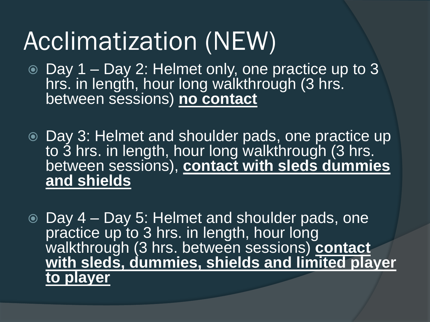### Acclimatization (NEW)

- Day 1 Day 2: Helmet only, one practice up to 3 hrs. in length, hour long walkthrough (3 hrs. between sessions) **no contact**
- Day 3: Helmet and shoulder pads, one practice up to 3 hrs. in length, hour long walkthrough (3 hrs. between sessions), **contact with sleds dummies and shields**

 Day 4 – Day 5: Helmet and shoulder pads, one practice up to 3 hrs. in length, hour long walkthrough (3 hrs. between sessions) **contact with sleds, dummies, shields and limited player to player**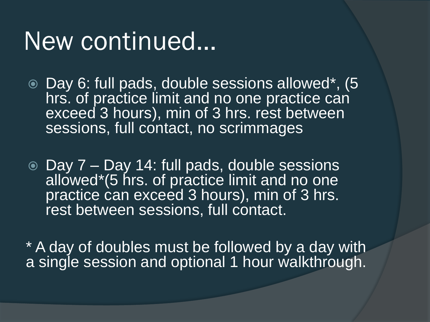#### New continued…

- Day 6: full pads, double sessions allowed\*, (5 hrs. of practice limit and no one practice can exceed 3 hours), min of 3 hrs. rest between sessions, full contact, no scrimmages
- Day 7 Day 14: full pads, double sessions allowed\*(5 hrs. of practice limit and no one practice can exceed 3 hours), min of 3 hrs. rest between sessions, full contact.

\* A day of doubles must be followed by a day with a single session and optional 1 hour walkthrough.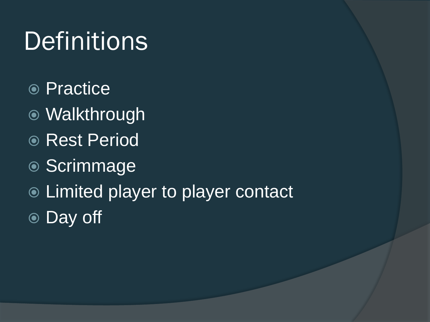# **Definitions**

- **◎ Practice**
- Walkthrough
- Rest Period
- Scrimmage
- **Example 2 Figure 1 Figure 1** Figure 1 Figure 1 Figure 1 Figure 1 Figure 1 Figure 1 Figure 1 Figure 1 Figure 1 Figure 1 Figure 1 Figure 1 Figure 1 Figure 1 Figure 1 Figure 1 Figure 1 Figure 1 Figure 1 Figure 1 Figure 1 Fig
- Day off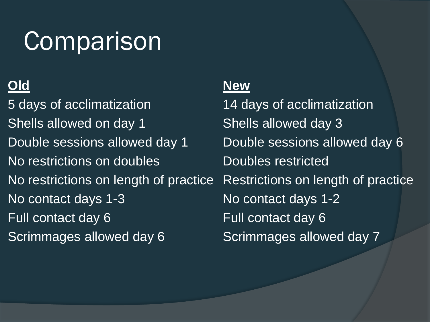### **Comparison**

5 days of acclimatization 14 days of acclimatization Shells allowed on day 1 Shells allowed day 3 Double sessions allowed day 1 Double sessions allowed day 6 No restrictions on doubles **No restricted** No restrictions on length of practice Restrictions on length of practice No contact days 1-3 No contact days 1-2 Full contact day 6 Full contact day 6 Scrimmages allowed day 6 Scrimmages allowed day 7

#### **Old New**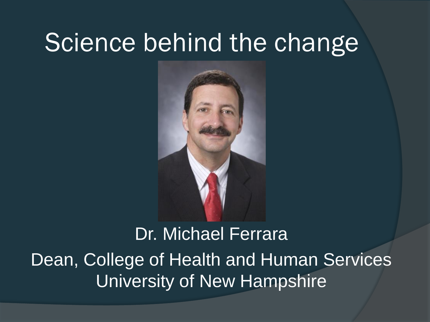#### Science behind the change



Dr. Michael Ferrara Dean, College of Health and Human Services University of New Hampshire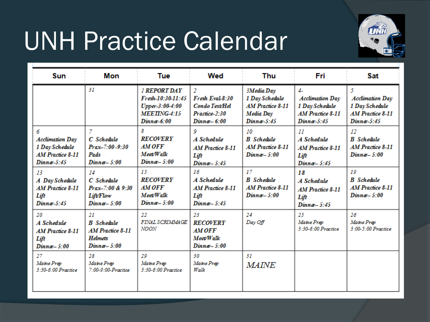### UNH Practice Calendar



| <b>Sun</b>                                                                                | Mon                                                                           | Tue                                                                                           | Wed                                                                            | Thu                                                                                   | Fri                                                                                                  | <b>Sat</b>                                                                                |
|-------------------------------------------------------------------------------------------|-------------------------------------------------------------------------------|-----------------------------------------------------------------------------------------------|--------------------------------------------------------------------------------|---------------------------------------------------------------------------------------|------------------------------------------------------------------------------------------------------|-------------------------------------------------------------------------------------------|
|                                                                                           | 31                                                                            | <b>I REPORT DAY</b><br>Fresh-10:30-11:45<br>Upper-3:00-4:00<br>$MEETING-4-15$<br>$Dimna-6:00$ | 2<br>Fresh Eval-8:30<br><b>Condo Test/Hel</b><br>Practice-2:30<br>Dinne - 6:00 | 3Media Day<br>1 Day Schedule<br><b>AM Practice 8-11</b><br>Media Day<br>$Dimner-5:45$ | $\mathbf{I}$<br><b>Acclimation Day</b><br>1 Day Schedule<br><b>AM Practice 8-11</b><br>$Dimner-5:45$ | 5<br><b>Acclimation Day</b><br>1 Day Schedule<br><b>AM Practice 8-11</b><br>$Dimner-5:45$ |
| 6<br><b>Acclimation Day</b><br>1 Day Schedule<br><b>AM Practice 8-11</b><br>$Dimner-5-45$ | 7<br>C. Schedule<br>Prax-7:00-9:30<br>Pads<br>$Dimna-5:00$                    | 8<br><b>RECOVERY</b><br>AM OFF<br>Meet/Walk<br>Dinner-5:00                                    | 9<br>A Schedule<br>AM Practice 8-11<br>Lift<br>$Dimna-5:45$                    | 10<br><b>B</b> Schedule<br>AM Practice 8-11<br>$Dimne-5:00$                           | $_{II}$<br>A Schedule<br>AM Practice 8-11<br>Lift<br>$Dimna-5:45$                                    | 12<br><b>B</b> Schedule<br><b>AM Practice 8-11</b><br>$Dimna-5:00$                        |
| 13<br>A Day Schedule<br><b>AM Practice 8-11</b><br>Lift<br>$Dimna-5-45$                   | 14<br>C. Schedule<br>Prax-7-00 & 9-30<br><b>Lift/Flow</b><br>Dinnø-5:00       | 15<br><b>RECOVERY</b><br>AM OFF<br>Meet/Walk<br>$Dimna-5:00$                                  | 16<br>A Schedule<br>AM Practice 8-11<br>Lift<br>$Dimna-5:45$                   | 17<br><b>B</b> Schedule<br><b>AM Practice 8-11</b><br>$Dimna-5:00$                    | 18<br>A Schedule<br><b>AM Practice 8-11</b><br>Lift<br>$Dimna-5:45$                                  | 10<br><b>B</b> Schedule<br><b>AM Practice 8-11</b><br>$Dimna-5:00$                        |
| 20<br>A Schedule<br>AM Practice 8-11<br>Lift<br>$Dimna-5:00$                              | 21<br><b>B</b> Schedule<br>AM Practice 8-11<br><b>Helmets</b><br>$Dimna-5:00$ | 22<br>FINAL SCRIMMAGE<br>NOON                                                                 | 23<br><b>RECOVERY</b><br><b>AM OFF</b><br>Meet/Walk<br>$Dimne-5:00$            | 24<br>Day Off                                                                         | 25<br>Maine Prep<br>$3:30.6:00$ Practice                                                             | $26^{\circ}$<br>Maine Prep<br>3:00-5:00 Practice                                          |
| 27<br>Maine Prep<br>3:30-6:00 Practice                                                    | 28<br>Maine Prep<br>7:00-9:00-Practice                                        | 20<br>Maine Prep<br>3:30-6:00 Practice                                                        | 30<br>Maine Prep<br>Walk                                                       | 31<br><b>MAINE</b>                                                                    |                                                                                                      |                                                                                           |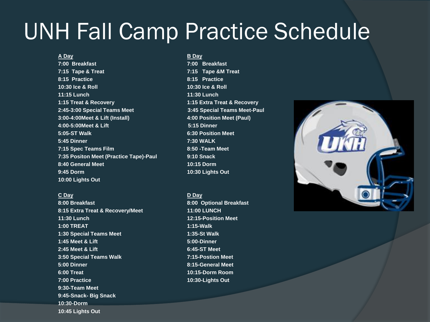#### UNH Fall Camp Practice Schedule

**7:00 Breakfast 7:00 Breakfast 7:15 Tape & Treat 7:15 Tape &M Treat 8:15 Practice 8:15 Practice 10:30 Ice & Roll 10:30 Ice & Roll 11:15 Lunch 11:30 Lunch 1:15 Treat & Recovery 1:15 Extra Treat & Recovery 2:45-3:00 Special Teams Meet 3:45 Special Teams Meet-Paul 3:00-4:00Meet & Lift (Install) 4:00 Position Meet (Paul) 4:00-5:00Meet & Lift 5:15 Dinner 5:05-ST Walk 6:30 Position Meet 5:45 Dinner 7:30 WALK 7:15 Spec Teams Film 8:50 -Team Meet 7:35 Positon Meet (Practice Tape)-Paul 9:10 Snack 8:40 General Meet 10:15 Dorm 9:45 Dorm 10:30 Lights Out 10:00 Lights Out** 

**C Day D Day D Day 8:00 Breakfast 8:00 Optional Breakfast 8:15 Extra Treat & Recovery/Meet 11:00 LUNCH 11:30 Lunch 12:15-Position Meet 1:00 TREAT 1:15-Walk 1:30 Special Teams Meet 1:35-St Walk 1:45 Meet & Lift 5:00-Dinner 2:45 Meet & Lift 6:45-ST Meet 3:50 Special Teams Walk 7:15-Postion Meet 5:00 Dinner 8:15-General Meet 6:00 Treat 10:15-Dorm Room 7:00 Practice 10:30-Lights Out 9:30-Team Meet 9:45-Snack- Big Snack 10:30-Dorm 10:45 Lights Out**

**A Day B Day**

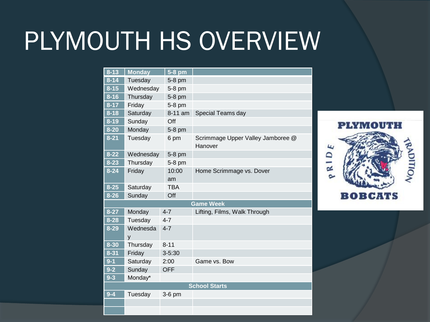### PLYMOUTH HS OVERVIEW

| $8 - 13$ | <b>Monday</b> | $5-8$ pm   |                                              |
|----------|---------------|------------|----------------------------------------------|
| $8 - 14$ | Tuesday       | 5-8 pm     |                                              |
| $8 - 15$ | Wednesday     | 5-8 pm     |                                              |
| $8 - 16$ | Thursday      | 5-8 pm     |                                              |
| $8 - 17$ | Friday        | 5-8 pm     |                                              |
| $8 - 18$ | Saturday      | 8-11 am    | Special Teams day                            |
| $8 - 19$ | Sunday        | Off        |                                              |
| $8 - 20$ | Monday        | 5-8 pm     |                                              |
| $8 - 21$ | Tuesday       | 6 pm       | Scrimmage Upper Valley Jamboree @<br>Hanover |
| $8 - 22$ | Wednesday     | 5-8 pm     |                                              |
| $8 - 23$ | Thursday      | 5-8 pm     |                                              |
| $8 - 24$ | Friday        | 10:00      | Home Scrimmage vs. Dover                     |
|          |               | am         |                                              |
| $8 - 25$ | Saturday      | <b>TBA</b> |                                              |
| $8 - 26$ | Sunday        | Off        |                                              |
|          |               |            | <b>Game Week</b>                             |
| $8 - 27$ | Monday        | $4 - 7$    | Lifting, Films, Walk Through                 |
| $8 - 28$ | Tuesday       | $4 - 7$    |                                              |
| $8 - 29$ | Wednesda<br>y | $4 - 7$    |                                              |
| $8 - 30$ | Thursday      | $8 - 11$   |                                              |
| $8 - 31$ | Friday        | $3 - 5:30$ |                                              |
| $9 - 1$  | Saturday      | 2:00       | Game vs. Bow                                 |
| $9 - 2$  | Sunday        | <b>OFF</b> |                                              |
| $9 - 3$  | Monday*       |            |                                              |
|          |               |            | <b>School Starts</b>                         |
| $9 - 4$  | Tuesday       | $3-6$ pm   |                                              |
|          |               |            |                                              |
|          |               |            |                                              |

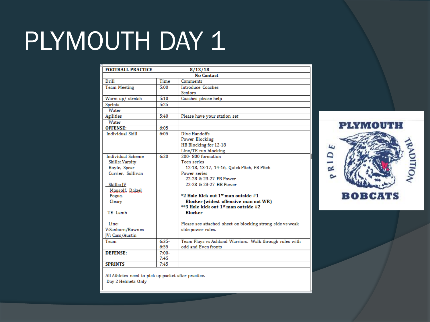# PLYMOUTH DAY 1

| <b>FOOTBALL PRACTICE</b><br>8/13/18 |         |                                                           |  |  |  |  |
|-------------------------------------|---------|-----------------------------------------------------------|--|--|--|--|
| <b>No Contact</b>                   |         |                                                           |  |  |  |  |
|                                     |         |                                                           |  |  |  |  |
| Drill                               | Time    | Comments                                                  |  |  |  |  |
| <b>Team Meeting</b>                 | 5:00    | Introduce Coaches                                         |  |  |  |  |
|                                     |         | Seniors                                                   |  |  |  |  |
| Warm up/ stretch                    | 5:10    | Coaches please help                                       |  |  |  |  |
| Sprints                             | 5:25    |                                                           |  |  |  |  |
| Water                               |         |                                                           |  |  |  |  |
| Agilities                           | 5:40    | Please have your station set                              |  |  |  |  |
| Water                               |         |                                                           |  |  |  |  |
| <b>OFFENSE:</b>                     | 6:05    |                                                           |  |  |  |  |
| <b>Individual Skill</b>             | 6:05    | Dive Handoffs                                             |  |  |  |  |
|                                     |         | Power Blocking                                            |  |  |  |  |
|                                     |         | HB Blocking for 12-18                                     |  |  |  |  |
|                                     |         | Line/TE run blocking                                      |  |  |  |  |
| Individual Scheme                   | 6:20    | 200-800 formation                                         |  |  |  |  |
| Skills: Varsity                     |         | Teen series                                               |  |  |  |  |
| Boyle, Spear                        |         | 12-18, 13-17, 14-16, Quick Pitch, FB Pitch                |  |  |  |  |
| Currier. Sullivan                   |         | Power series                                              |  |  |  |  |
|                                     |         | 22-28 & 23-27 FB Power                                    |  |  |  |  |
| Skills: JV                          |         | 22-28 & 23-27 HB Power                                    |  |  |  |  |
| Mausolf, Dalzel.                    |         |                                                           |  |  |  |  |
| Pogue,                              |         | *2 Hole Kick out 1 <sup>st</sup> man outside #1           |  |  |  |  |
| Cleary                              |         | Blocker (widest offensive man not WR)                     |  |  |  |  |
|                                     |         | **3 Hole kick out 1st man outside #2                      |  |  |  |  |
| TE-Lamb                             |         | <b>Blocker</b>                                            |  |  |  |  |
|                                     |         |                                                           |  |  |  |  |
| Line:                               |         | Please see attached sheet on blocking strong side vs weak |  |  |  |  |
| V:Sanborn/Bownes                    |         | side power rules.                                         |  |  |  |  |
| JV: Cass/Austin                     |         |                                                           |  |  |  |  |
| Team                                | $6:35-$ | Team Plays vs Ashland Warriors. Walk through rules with   |  |  |  |  |
|                                     | 6:55    | odd and Even fronts                                       |  |  |  |  |
| <b>DEFENSE:</b>                     | $7:00-$ |                                                           |  |  |  |  |
|                                     | 7:45    |                                                           |  |  |  |  |
| <b>SPRINTS</b>                      | 7:45    |                                                           |  |  |  |  |
|                                     |         |                                                           |  |  |  |  |

All Athletes need to pick up packet after practice. Day 2 Helmets Only

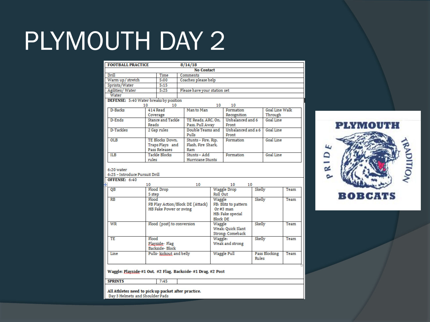### PLYMOUTH DAY 2

| <b>FOOTBALL PRACTICE</b><br>8/14/18                             |                                                          |                                     |                              |                                  |        |                  |      |
|-----------------------------------------------------------------|----------------------------------------------------------|-------------------------------------|------------------------------|----------------------------------|--------|------------------|------|
| <b>No Contact</b>                                               |                                                          |                                     |                              |                                  |        |                  |      |
| Drill                                                           | Time                                                     | Comments                            |                              |                                  |        |                  |      |
| Warm up/stretch                                                 | 5:00                                                     | Coaches please help                 |                              |                                  |        |                  |      |
| Sprints/Water                                                   | 5:15                                                     |                                     |                              |                                  |        |                  |      |
| Agilities/Water                                                 | 5:25                                                     |                                     | Please have your station set |                                  |        |                  |      |
| Water                                                           |                                                          |                                     |                              |                                  |        |                  |      |
| DEFENSE: 5:40 Water breaks by position                          |                                                          |                                     |                              |                                  |        |                  |      |
| 10                                                              | 10                                                       |                                     | 10                           | 10                               |        |                  |      |
| D-Backs                                                         | 414 Read                                                 | Man to Man                          |                              | Formation                        |        | Goal Line Walk   |      |
|                                                                 | Coverage                                                 |                                     |                              | Recognition                      |        | Through          |      |
| D-Ends                                                          | <b>Stance and Tackle</b><br>Reads                        | TE Reads, ARC, On.                  |                              | Unbalanced and 6<br><b>Front</b> |        | Goal Line        |      |
| D-Tackles                                                       |                                                          | Pass, Pull Away<br>Double Teams and |                              | Unbalanced and a 6               |        | Goal Line        |      |
|                                                                 | 2 Gap rules                                              | Pulls                               |                              | Front                            |        |                  |      |
| <b>OLB</b>                                                      | TE Blocks Down.                                          | Stunts - Fire, Rip,                 |                              | Formation                        |        | Goal Line        |      |
|                                                                 | Traps Plays and                                          | Flash, Fire Shark.                  |                              |                                  |        |                  |      |
|                                                                 | <b>Pass Releases</b>                                     | Ram                                 |                              |                                  |        |                  |      |
| $\overline{\text{ILB}}$                                         | Tackle Blocks                                            | Stunts - Add                        |                              | Formation                        |        | <b>Goal Line</b> |      |
|                                                                 | rules                                                    |                                     | <b>Hurricane Stunts</b>      |                                  |        |                  |      |
| $6:20$ water<br>6:25 - Introduce Pursuit Drill<br>OFFENSE: 6:40 |                                                          |                                     |                              |                                  |        |                  |      |
|                                                                 | 10                                                       | 10                                  |                              | 10<br>10                         |        |                  |      |
| QB                                                              | Flood Drop                                               |                                     |                              | <b>Waggle Drop</b>               | Skelly |                  | Team |
|                                                                 | 5 step                                                   |                                     | Roll Out                     |                                  |        |                  |      |
| $\overline{RB}$                                                 | Flood                                                    |                                     | Waggle                       |                                  | Skelly |                  | Team |
|                                                                 | FB Play Action/Block DE (Attack)<br>FB: Blitz to pattern |                                     |                              |                                  |        |                  |      |
|                                                                 | HB Fake Power or swing<br>Or#3 man                       |                                     |                              |                                  |        |                  |      |
|                                                                 |                                                          | HB: Fake special                    |                              |                                  |        |                  |      |
|                                                                 |                                                          |                                     | <b>Block DE</b>              |                                  |        |                  | Team |
| WR<br>Flood (post) to conversion                                |                                                          | Waggle<br>Weak: Quick Slant         |                              | Skelly                           |        |                  |      |
|                                                                 |                                                          |                                     |                              |                                  |        |                  |      |
| TE                                                              | Flood                                                    |                                     | Strong: Comeback<br>Waggle:  |                                  | Skelly |                  | Team |
| Playside-Flag                                                   |                                                          | Weak and strong                     |                              |                                  |        |                  |      |
|                                                                 | Backside-Block                                           |                                     |                              |                                  |        |                  |      |
| Line                                                            | Pulls-kickout and belly                                  |                                     |                              | <b>Waggle Pull</b>               |        | Pass Blocking    | Team |
|                                                                 |                                                          |                                     |                              |                                  | Rules  |                  |      |
|                                                                 |                                                          |                                     |                              |                                  |        |                  |      |
|                                                                 |                                                          |                                     |                              |                                  |        |                  |      |

Waggle: Playside #1 Out, #2 Flag, Backside #1 Drag, #2 Post

 $7:45$ 

**SPRINTS** 

All Athletes need to pick up packet after practice.<br>Day 3 Helmets and Shoulder Pads

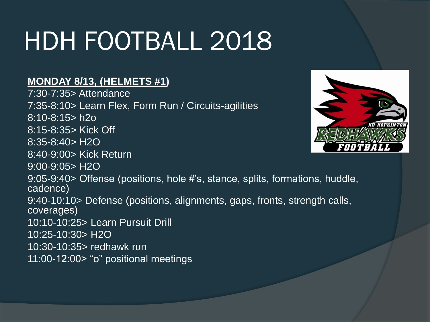#### **MONDAY 8/13, (HELMETS #1)**

7:30-7:35> Attendance 7:35-8:10> Learn Flex, Form Run / Circuits-agilities 8:10-8:15> h2o 8:15-8:35> Kick Off 8:35-8:40> H2O 8:40-9:00> Kick Return 9:00-9:05> H2O 9:05-9:40> Offense (positions, hole #'s, stance, splits, formations, huddle, cadence) 9:40-10:10> Defense (positions, alignments, gaps, fronts, strength calls, coverages) 10:10-10:25> Learn Pursuit Drill 10:25-10:30> H2O 10:30-10:35> redhawk run 11:00-12:00> "o" positional meetings

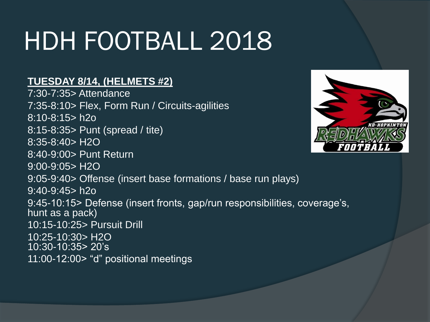#### **TUESDAY 8/14, (HELMETS #2)**

7:30-7:35> Attendance 7:35-8:10> Flex, Form Run / Circuits-agilities 8:10-8:15> h2o 8:15-8:35> Punt (spread / tite) 8:35-8:40> H2O 8:40-9:00> Punt Return 9:00-9:05> H2O 9:05-9:40> Offense (insert base formations / base run plays) 9:40-9:45> h2o 9:45-10:15> Defense (insert fronts, gap/run responsibilities, coverage's, hunt as a pack) 10:15-10:25> Pursuit Drill 10:25-10:30> H2O 10:30-10:35> 20's 11:00-12:00> "d" positional meetings

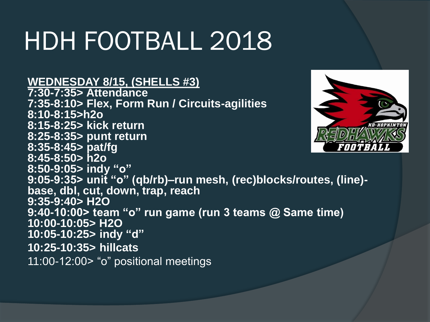#### **WEDNESDAY 8/15, (SHELLS #3)**

**7:30-7:35> Attendance 7:35-8:10> Flex, Form Run / Circuits-agilities 8:10-8:15>h2o 8:15-8:25> kick return 8:25-8:35> punt return 8:35-8:45> pat/fg 8:45-8:50> h2o 8:50-9:05> indy "o" 9:05-9:35> unit "o" (qb/rb)–run mesh, (rec)blocks/routes, (line) base, dbl, cut, down, trap, reach 9:35-9:40> H2O 9:40-10:00> team "o" run game (run 3 teams @ Same time) 10:00-10:05> H2O 10:05-10:25> indy "d" 10:25-10:35> hillcats** 11:00-12:00> "o" positional meetings

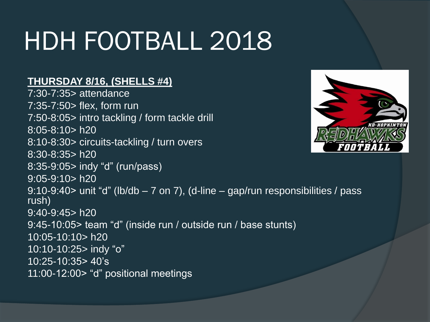#### **THURSDAY 8/16, (SHELLS #4)**

7:30-7:35> attendance 7:35-7:50> flex, form run 7:50-8:05> intro tackling / form tackle drill 8:05-8:10> h20 8:10-8:30> circuits-tackling / turn overs 8:30-8:35> h20 8:35-9:05> indy "d" (run/pass) 9:05-9:10> h20 9:10-9:40> unit "d" (lb/db – 7 on 7), (d-line – gap/run responsibilities / pass rush) 9:40-9:45> h20 9:45-10:05> team "d" (inside run / outside run / base stunts) 10:05-10:10> h20 10:10-10:25> indy "o" 10:25-10:35> 40's 11:00-12:00> "d" positional meetings

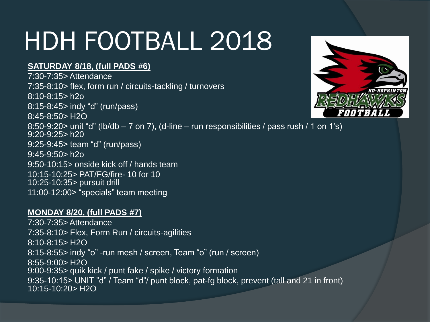#### **SATURDAY 8/18, (full PADS #6)**

7:30-7:35> Attendance 7:35-8:10> flex, form run / circuits-tackling / turnovers 8:10-8:15> h2o 8:15-8:45> indy "d" (run/pass) 8:45-8:50> H2O 8:50-9:20> unit "d" (lb/db  $-7$  on 7), (d-line  $-$  run responsibilities / pass rush / 1 on 1's) 9:20-9:25> h20 9:25-9:45> team "d" (run/pass) 9:45-9:50> h2o 9:50-10:15> onside kick off / hands team 10:15-10:25> PAT/FG/fire- 10 for 10 10:25-10:35> pursuit drill 11:00-12:00> "specials" team meeting

#### **MONDAY 8/20, (full PADS #7)**

7:30-7:35> Attendance 7:35-8:10> Flex, Form Run / circuits-agilities 8:10-8:15> H2O 8:15-8:55> indy "o" -run mesh / screen, Team "o" (run / screen) 8:55-9:00> H2O 9:00-9:35> quik kick / punt fake / spike / victory formation 9:35-10:15> UNIT "d" / Team "d"/ punt block, pat-fg block, prevent (tall and 21 in front) 10:15-10:20> H2O

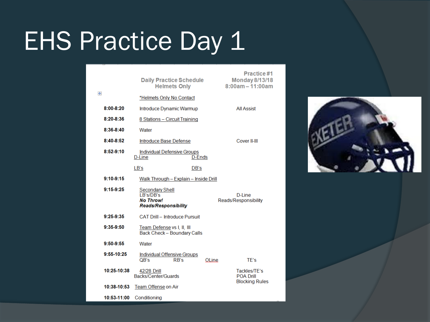#### EHS Practice Day 1

| $\ddot{\Phi}$ |               | <b>Daily Practice Schedule</b><br><b>Helmets Only</b>                                          |       | Practice#1<br><b>Monday 8/13/18</b><br>$8:00am - 11:00am$ |
|---------------|---------------|------------------------------------------------------------------------------------------------|-------|-----------------------------------------------------------|
|               |               | *Helmets Only No Contact                                                                       |       |                                                           |
|               | $8:00-8:20$   | Introduce Dynamic Warmup                                                                       |       | <b>All Assist</b>                                         |
|               | $8:20 - 8:36$ | 8 Stations - Circuit Training                                                                  |       |                                                           |
|               | $8:36-8:40$   | Water                                                                                          |       |                                                           |
|               | $8:40-8:52$   | Introduce Base Defense                                                                         |       | Cover II-III                                              |
|               | 8:52.9:10     | <b>Individual Defensive Groups</b><br>D-Line<br><b>D-Ends</b>                                  |       |                                                           |
|               |               | LB's<br>DB's                                                                                   |       |                                                           |
|               | $9:10-9:15$   | Walk Through - Explain - Inside Drill                                                          |       |                                                           |
|               | $9:15-9:25$   | <b>Secondary Shell</b><br><b>I B's/DB's</b><br><b>No Throw!</b><br><b>Reads/Responsibility</b> |       | <b>D-Line</b><br>Reads/Responsibility                     |
|               | $9:25-9:35$   | CAT Drill - Introduce Pursuit                                                                  |       |                                                           |
|               | 9:35.9:50     | Team Defense vs I, II, III<br>Back Check - Boundary Calls                                      |       |                                                           |
|               | $9:50-9:55$   | Water                                                                                          |       |                                                           |
|               | 9:55-10:25    | Individual Offensive Groups<br>QB's<br>RB's                                                    | OLine | TE's                                                      |
|               | 10:25-10:38   | 42/28 Drill<br>Backs/Center/Guards                                                             |       | Tackles/TE's<br><b>POA Drill</b>                          |
|               | 10:38-10:53   | Team Offense on Air                                                                            |       | <b>Blocking Rules</b>                                     |
|               | 10:53-11:00   | Conditioning                                                                                   |       |                                                           |

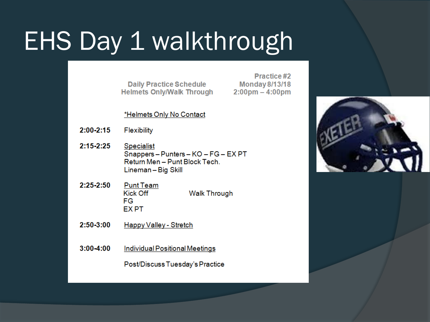# EHS Day 1 walkthrough

**Daily Practice Schedule Helmets Only/Walk Through** 

Practice#2 **Monday 8/13/18**  $2:00 \text{pm} - 4:00 \text{pm}$ 

\*Helmets Only No Contact

- $2:00 2:15$ Flexibility
- $2:15 2:25$ **Specialist** Snappers-Punters-KO-FG-EXPT Return Men - Punt Block Tech. Lineman-Big Skill
- $2:25 2:50$ **Punt Team Kick Off Walk Through** FG. **EXPT**
- $2:50 3:00$ Happy Valley - Stretch
- $3:00 4:00$ Individual Positional Meetings

Post/Discuss Tuesday's Practice

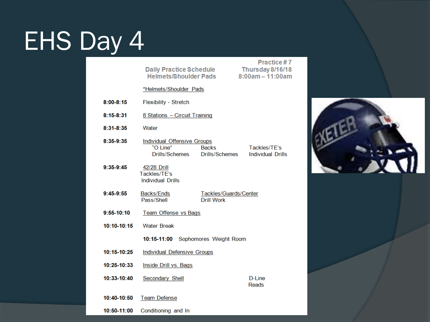# EHS Day 4

10:50-11:00

Conditioning and In

|               |                                                                        |                                                            | Practice #7 |  |  |  |  |
|---------------|------------------------------------------------------------------------|------------------------------------------------------------|-------------|--|--|--|--|
|               | <b>Daily Practice Schedule</b><br><b>Helmets/Shoulder Pads</b>         | Thursday 8/16/18<br>$8:00am - 11:00am$                     |             |  |  |  |  |
|               | *Helmets/Shoulder Pads                                                 |                                                            |             |  |  |  |  |
| $8:00 - 8:15$ | <b>Flexibility - Stretch</b>                                           |                                                            |             |  |  |  |  |
| 8:15-8:31     | 8 Stations - Circuit Training                                          |                                                            |             |  |  |  |  |
| 8:31-8:35     | Water                                                                  |                                                            |             |  |  |  |  |
| 8:35-9:35     | <b>Individual Offensive Groups</b><br>"O Line"<br>Drills/Schemes       | Tackles/TE's<br>Drills/Schemes<br><b>Individual Drills</b> |             |  |  |  |  |
| 9:35-9:45     | 42/28 Drill<br>Tackles/TE's<br><b>Individual Drills</b>                |                                                            |             |  |  |  |  |
| $9:45-9:55$   | Backs/Ends<br>Tackles/Guards/Center<br>Pass/Shell<br><b>Drill Work</b> |                                                            |             |  |  |  |  |
| $9:55-10:10$  | Team Offense vs Bags                                                   |                                                            |             |  |  |  |  |
| 10:10-10:15   | <b>Water Break</b>                                                     |                                                            |             |  |  |  |  |
|               | 10:15-11:00                                                            | Sophomores Weight Room                                     |             |  |  |  |  |
| 10:15-10:25   | <b>Individual Defensive Groups</b>                                     |                                                            |             |  |  |  |  |
| 10:25-10:33   | Inside Drill vs. Bags                                                  |                                                            |             |  |  |  |  |
| 10:33-10:40   | Secondary Shell<br>D-Line<br>Reads                                     |                                                            |             |  |  |  |  |
| 10:40-10:50   | <b>Team Defense</b>                                                    |                                                            |             |  |  |  |  |